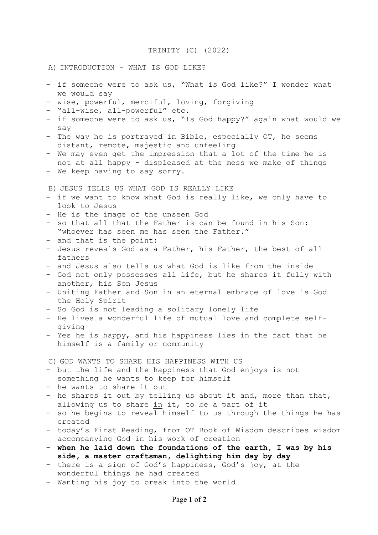## TRINITY (C) (2022)

## A) INTRODUCTION – WHAT IS GOD LIKE?

- if someone were to ask us, "What is God like?" I wonder what we would say
- wise, powerful, merciful, loving, forgiving
- "all-wise, all-powerful" etc.
- if someone were to ask us, "Is God happy?" again what would we say
- The way he is portrayed in Bible, especially OT, he seems distant, remote, majestic and unfeeling
- We may even get the impression that a lot of the time he is not at all happy - displeased at the mess we make of things
- We keep having to say sorry.

B) JESUS TELLS US WHAT GOD IS REALLY LIKE

- if we want to know what God is really like, we only have to look to Jesus
- He is the image of the unseen God
- so that all that the Father is can be found in his Son: "whoever has seen me has seen the Father."
- and that is the point:
- Jesus reveals God as a Father, his Father, the best of all fathers
- and Jesus also tells us what God is like from the inside
- God not only possesses all life, but he shares it fully with another, his Son Jesus
- Uniting Father and Son in an eternal embrace of love is God the Holy Spirit
- So God is not leading a solitary lonely life
- He lives a wonderful life of mutual love and complete selfgiving
- Yes he is happy, and his happiness lies in the fact that he himself is a family or community

C) GOD WANTS TO SHARE HIS HAPPINESS WITH US

- but the life and the happiness that God enjoys is not something he wants to keep for himself
- he wants to share it out
- he shares it out by telling us about it and, more than that, allowing us to share in it, to be a part of it
- so he begins to reveal himself to us through the things he has created
- today's First Reading, from OT Book of Wisdom describes wisdom accompanying God in his work of creation
- **when he laid down the foundations of the earth, I was by his side, a master craftsman, delighting him day by day**
- there is a sign of God's happiness, God's joy, at the wonderful things he had created
- Wanting his joy to break into the world